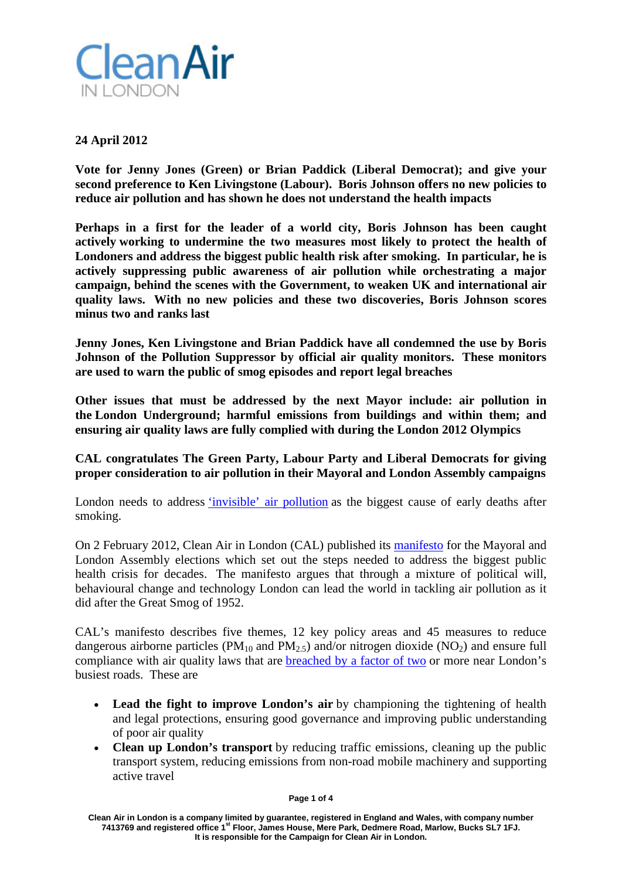

# **24 April 2012**

**Vote for Jenny Jones (Green) or Brian Paddick (Liberal Democrat); and give your second preference to Ken Livingstone (Labour). Boris Johnson offers no new policies to reduce air pollution and has shown he does not understand the health impacts**

**Perhaps in a first for the leader of a world city, Boris Johnson has been caught actively working to undermine the two measures most likely to protect the health of Londoners and address the biggest public health risk after smoking. In particular, he is actively suppressing public awareness of air pollution while orchestrating a major campaign, behind the scenes with the Government, to weaken UK and international air quality laws. With no new policies and these two discoveries, Boris Johnson scores minus two and ranks last**

**Jenny Jones, Ken Livingstone and Brian Paddick have all condemned the use by Boris Johnson of the Pollution Suppressor by official air quality monitors. These monitors are used to warn the public of smog episodes and report legal breaches**

**Other issues that must be addressed by the next Mayor include: air pollution in the London Underground; harmful emissions from buildings and within them; and ensuring air quality laws are fully complied with during the London 2012 Olympics**

**CAL congratulates The Green Party, Labour Party and Liberal Democrats for giving proper consideration to air pollution in their Mayoral and London Assembly campaigns**

London needs to address ['invisible' air pollution](http://www.epolitix.com/latestnews/article-detail/newsarticle/invisible-air-pollution-the-biggest-public-health-failing-or-cover-up-for-decades/) as the biggest cause of early deaths after smoking.

On 2 February 2012, Clean Air in London (CAL) published its [manifesto](http://cleanairinlondon.org/indoor-air-quality/manifesto-for-the-mayoral-and-london-assembly-elections/) for the Mayoral and London Assembly elections which set out the steps needed to address the biggest public health crisis for decades. The manifesto argues that through a mixture of political will, behavioural change and technology London can lead the world in tackling air pollution as it did after the Great Smog of 1952.

CAL's manifesto describes five themes, 12 key policy areas and 45 measures to reduce dangerous airborne particles (PM<sub>10</sub> and PM<sub>2.5</sub>) and/or nitrogen dioxide (NO<sub>2</sub>) and ensure full compliance with air quality laws that are [breached by a factor of two](http://www.epolitix.com/latestnews/article-detail/newsarticle/uk-is-cheating-on-air-quality-laws-and-misleading-the-european-commission/) or more near London's busiest roads. These are

- **Lead the fight to improve London's air** by championing the tightening of health and legal protections, ensuring good governance and improving public understanding of poor air quality
- **Clean up London's transport** by reducing traffic emissions, cleaning up the public transport system, reducing emissions from non-road mobile machinery and supporting active travel

**Clean Air in London is a company limited by guarantee, registered in England and Wales, with company number 7413769 and registered office 1st Floor, James House, Mere Park, Dedmere Road, Marlow, Bucks SL7 1FJ. It is responsible for the Campaign for Clean Air in London.**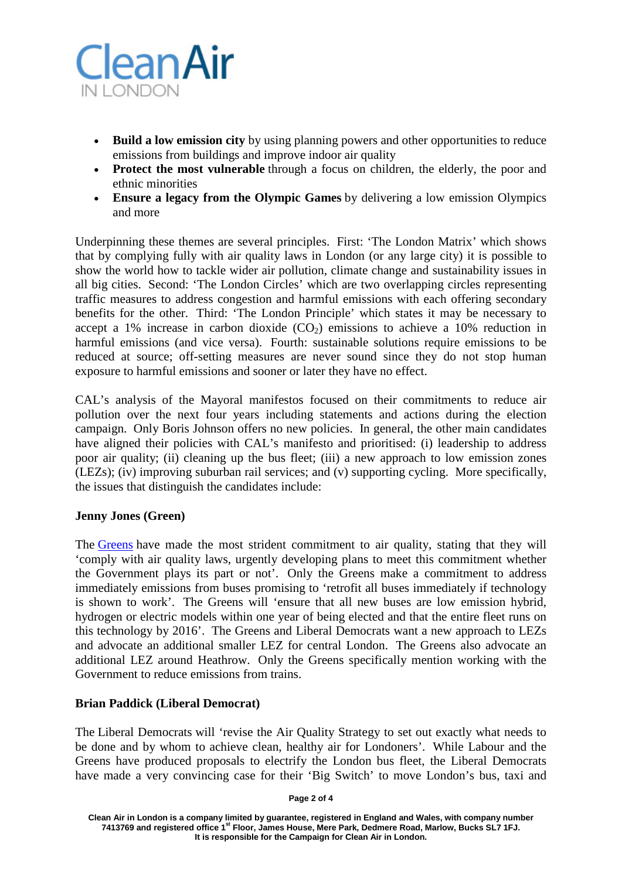

- **Build a low emission city** by using planning powers and other opportunities to reduce emissions from buildings and improve indoor air quality
- **Protect the most vulnerable** through a focus on children, the elderly, the poor and ethnic minorities
- **Ensure a legacy from the Olympic Games** by delivering a low emission Olympics and more

Underpinning these themes are several principles. First: 'The London Matrix' which shows that by complying fully with air quality laws in London (or any large city) it is possible to show the world how to tackle wider air pollution, climate change and sustainability issues in all big cities. Second: 'The London Circles' which are two overlapping circles representing traffic measures to address congestion and harmful emissions with each offering secondary benefits for the other. Third: 'The London Principle' which states it may be necessary to accept a 1% increase in carbon dioxide  $(CO<sub>2</sub>)$  emissions to achieve a 10% reduction in harmful emissions (and vice versa). Fourth: sustainable solutions require emissions to be reduced at source; off-setting measures are never sound since they do not stop human exposure to harmful emissions and sooner or later they have no effect.

CAL's analysis of the Mayoral manifestos focused on their commitments to reduce air pollution over the next four years including statements and actions during the election campaign. Only Boris Johnson offers no new policies. In general, the other main candidates have aligned their policies with CAL's manifesto and prioritised: (i) leadership to address poor air quality; (ii) cleaning up the bus fleet; (iii) a new approach to low emission zones (LEZs); (iv) improving suburban rail services; and (v) supporting cycling. More specifically, the issues that distinguish the candidates include:

# **Jenny Jones (Green)**

The [Greens](http://london.greenparty.org.uk/assets/images/londonimages/manifesto2012/Green_Party_manifesto_london2012_download.pdf) have made the most strident commitment to air quality, stating that they will 'comply with air quality laws, urgently developing plans to meet this commitment whether the Government plays its part or not'. Only the Greens make a commitment to address immediately emissions from buses promising to 'retrofit all buses immediately if technology is shown to work'. The Greens will 'ensure that all new buses are low emission hybrid, hydrogen or electric models within one year of being elected and that the entire fleet runs on this technology by 2016'. The Greens and Liberal Democrats want a new approach to LEZs and advocate an additional smaller LEZ for central London. The Greens also advocate an additional LEZ around Heathrow. Only the Greens specifically mention working with the Government to reduce emissions from trains.

## **Brian Paddick (Liberal Democrat)**

The Liberal Democrats will 'revise the Air Quality Strategy to set out exactly what needs to be done and by whom to achieve clean, healthy air for Londoners'. While Labour and the Greens have produced proposals to electrify the London bus fleet, the Liberal Democrats have made a very convincing case for their 'Big Switch' to move London's bus, taxi and

**Clean Air in London is a company limited by guarantee, registered in England and Wales, with company number 7413769 and registered office 1st Floor, James House, Mere Park, Dedmere Road, Marlow, Bucks SL7 1FJ. It is responsible for the Campaign for Clean Air in London.**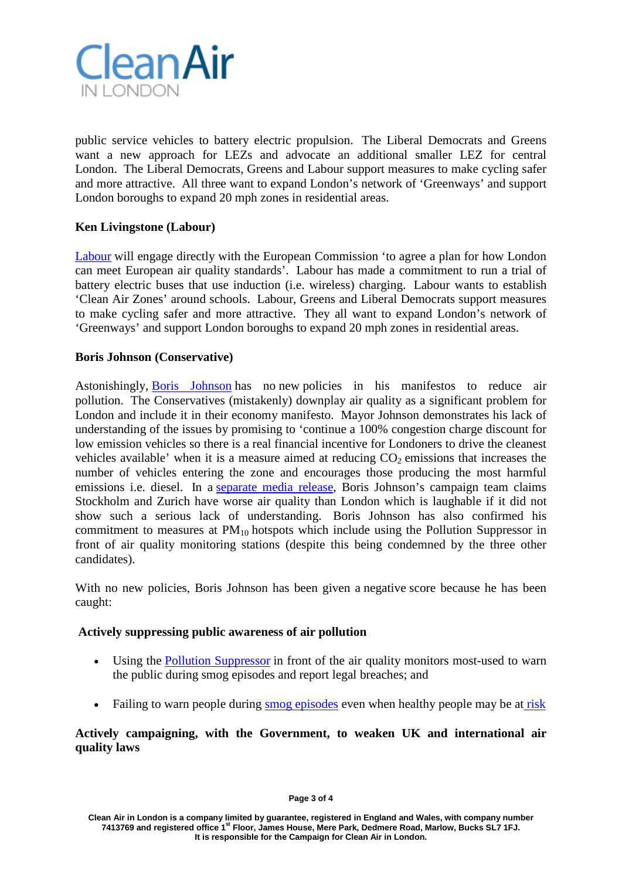

public service vehicles to battery electric propulsion. The Liberal Democrats and Greens want a new approach for LEZs and advocate an additional smaller LEZ for central London. The Liberal Democrats, Greens and Labour support measures to make cycling safer and more attractive. All three want to expand London's network of 'Greenways' and support London boroughs to expand 20 mph zones in residential areas.

## **Ken Livingstone (Labour)**

[Labour](http://www.kenlivingstone.com/boris-johnsons-inaction-on-air-quality-could-land-london-with-30) will engage directly with the European Commission 'to agree a plan for how London can meet European air quality standards'. Labour has made a commitment to run a trial of battery electric buses that use induction (i.e. wireless) charging. Labour wants to establish 'Clean Air Zones' around schools. Labour, Greens and Liberal Democrats support measures to make cycling safer and more attractive. They all want to expand London's network of 'Greenways' and support London boroughs to expand 20 mph zones in residential areas.

## **Boris Johnson (Conservative)**

Astonishingly, [Boris Johnson](http://www.backboris2012.com/manifesto) has no new policies in his manifestos to reduce air pollution. The Conservatives (mistakenly) downplay air quality as a significant problem for London and include it in their economy manifesto. Mayor Johnson demonstrates his lack of understanding of the issues by promising to 'continue a 100% congestion charge discount for low emission vehicles so there is a real financial incentive for Londoners to drive the cleanest vehicles available' when it is a measure aimed at reducing  $CO<sub>2</sub>$  emissions that increases the number of vehicles entering the zone and encourages those producing the most harmful emissions i.e. diesel. In a [separate media release,](http://media.backboris2012.com/pressrelease/ken-livingstone-sky-news-dabate-false-claims/) Boris Johnson's campaign team claims Stockholm and Zurich have worse air quality than London which is laughable if it did not show such a serious lack of understanding. Boris Johnson has also confirmed his commitment to measures at  $PM_{10}$  hotspots which include using the Pollution Suppressor in front of air quality monitoring stations (despite this being condemned by the three other candidates).

With no new policies, Boris Johnson has been given a negative score because he has been caught:

## **Actively suppressing public awareness of air pollution**

- Using the [Pollution Suppressor](http://cleanairinlondon.org/hot-topics/public-health-fraud/) in front of the air quality monitors most-used to warn the public during smog episodes and report legal breaches; and
- Failing to warn people during [smog episodes](http://www.londonair.org.uk/london/asp/publicepisodes.asp?region=0) even when healthy people may be at [risk](http://www.londonair.org.uk/london/asp/airpollutionhealth.asp?HealthPage=HealthAdvice)

## **Actively campaigning, with the Government, to weaken UK and international air quality laws**